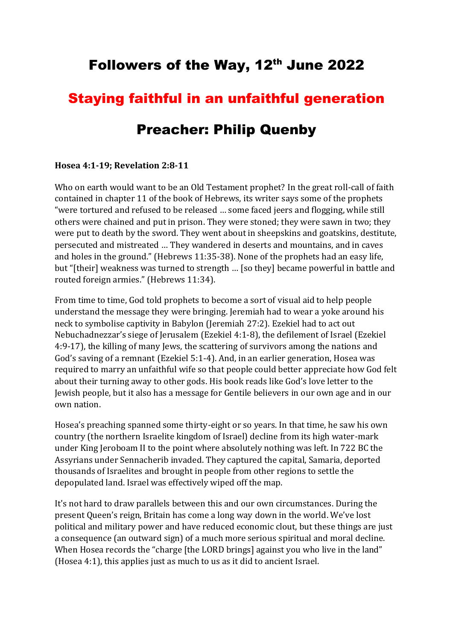# Followers of the Way, 12th June 2022

## Staying faithful in an unfaithful generation

## Preacher: Philip Quenby

#### **Hosea 4:1-19; Revelation 2:8-11**

Who on earth would want to be an Old Testament prophet? In the great roll-call of faith contained in chapter 11 of the book of Hebrews, its writer says some of the prophets "were tortured and refused to be released … some faced jeers and flogging, while still others were chained and put in prison. They were stoned; they were sawn in two; they were put to death by the sword. They went about in sheepskins and goatskins, destitute, persecuted and mistreated … They wandered in deserts and mountains, and in caves and holes in the ground." (Hebrews 11:35-38). None of the prophets had an easy life, but "[their] weakness was turned to strength … [so they] became powerful in battle and routed foreign armies." (Hebrews 11:34).

From time to time, God told prophets to become a sort of visual aid to help people understand the message they were bringing. Jeremiah had to wear a yoke around his neck to symbolise captivity in Babylon (Jeremiah 27:2). Ezekiel had to act out Nebuchadnezzar's siege of Jerusalem (Ezekiel 4:1-8), the defilement of Israel (Ezekiel 4:9-17), the killing of many Jews, the scattering of survivors among the nations and God's saving of a remnant (Ezekiel 5:1-4). And, in an earlier generation, Hosea was required to marry an unfaithful wife so that people could better appreciate how God felt about their turning away to other gods. His book reads like God's love letter to the Jewish people, but it also has a message for Gentile believers in our own age and in our own nation.

Hosea's preaching spanned some thirty-eight or so years. In that time, he saw his own country (the northern Israelite kingdom of Israel) decline from its high water-mark under King Jeroboam II to the point where absolutely nothing was left. In 722 BC the Assyrians under Sennacherib invaded. They captured the capital, Samaria, deported thousands of Israelites and brought in people from other regions to settle the depopulated land. Israel was effectively wiped off the map.

It's not hard to draw parallels between this and our own circumstances. During the present Queen's reign, Britain has come a long way down in the world. We've lost political and military power and have reduced economic clout, but these things are just a consequence (an outward sign) of a much more serious spiritual and moral decline. When Hosea records the "charge [the LORD brings] against you who live in the land" (Hosea 4:1), this applies just as much to us as it did to ancient Israel.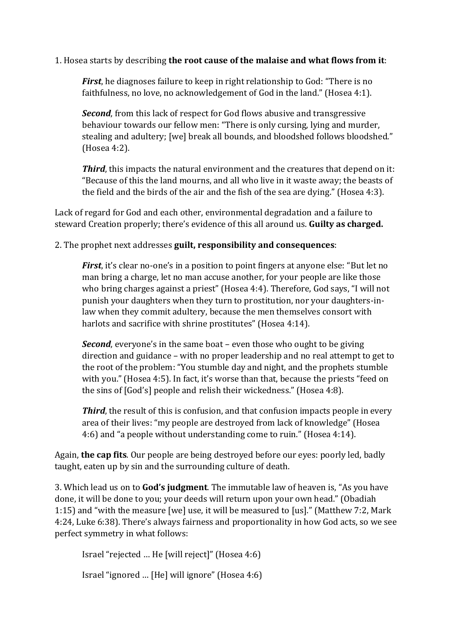### 1. Hosea starts by describing **the root cause of the malaise and what flows from it**:

*First*, he diagnoses failure to keep in right relationship to God: "There is no faithfulness, no love, no acknowledgement of God in the land." (Hosea 4:1).

*Second*, from this lack of respect for God flows abusive and transgressive behaviour towards our fellow men: "There is only cursing, lying and murder, stealing and adultery; [we] break all bounds, and bloodshed follows bloodshed." (Hosea 4:2).

*Third*, this impacts the natural environment and the creatures that depend on it: "Because of this the land mourns, and all who live in it waste away; the beasts of the field and the birds of the air and the fish of the sea are dying." (Hosea 4:3).

Lack of regard for God and each other, environmental degradation and a failure to steward Creation properly; there's evidence of this all around us. **Guilty as charged.** 

2. The prophet next addresses **guilt, responsibility and consequences**:

*First*, it's clear no-one's in a position to point fingers at anyone else: "But let no man bring a charge, let no man accuse another, for your people are like those who bring charges against a priest" (Hosea 4:4). Therefore, God says, "I will not punish your daughters when they turn to prostitution, nor your daughters-inlaw when they commit adultery, because the men themselves consort with harlots and sacrifice with shrine prostitutes" (Hosea 4:14).

*Second*, everyone's in the same boat – even those who ought to be giving direction and guidance – with no proper leadership and no real attempt to get to the root of the problem: "You stumble day and night, and the prophets stumble with you." (Hosea 4:5). In fact, it's worse than that, because the priests "feed on the sins of [God's] people and relish their wickedness." (Hosea 4:8).

**Third**, the result of this is confusion, and that confusion impacts people in every area of their lives: "my people are destroyed from lack of knowledge" (Hosea 4:6) and "a people without understanding come to ruin." (Hosea 4:14).

Again, **the cap fits**. Our people are being destroyed before our eyes: poorly led, badly taught, eaten up by sin and the surrounding culture of death.

3. Which lead us on to **God's judgment**. The immutable law of heaven is, "As you have done, it will be done to you; your deeds will return upon your own head." (Obadiah 1:15) and "with the measure [we] use, it will be measured to [us]." (Matthew 7:2, Mark 4:24, Luke 6:38). There's always fairness and proportionality in how God acts, so we see perfect symmetry in what follows:

Israel "rejected … He [will reject]" (Hosea 4:6)

Israel "ignored … [He] will ignore" (Hosea 4:6)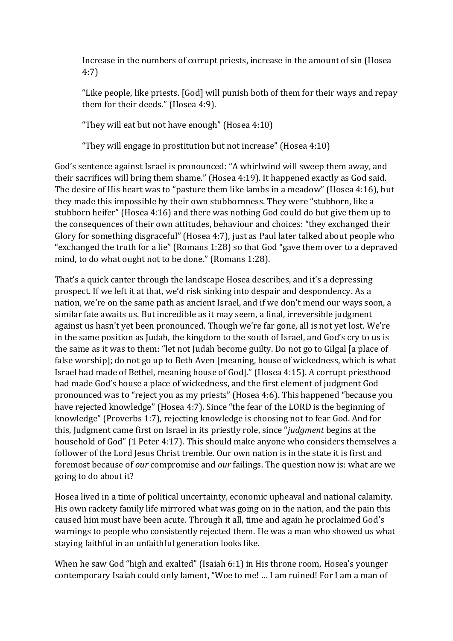Increase in the numbers of corrupt priests, increase in the amount of sin (Hosea 4:7)

"Like people, like priests. [God] will punish both of them for their ways and repay them for their deeds." (Hosea 4:9).

"They will eat but not have enough" (Hosea 4:10)

"They will engage in prostitution but not increase" (Hosea 4:10)

God's sentence against Israel is pronounced: "A whirlwind will sweep them away, and their sacrifices will bring them shame." (Hosea 4:19). It happened exactly as God said. The desire of His heart was to "pasture them like lambs in a meadow" (Hosea 4:16), but they made this impossible by their own stubbornness. They were "stubborn, like a stubborn heifer" (Hosea 4:16) and there was nothing God could do but give them up to the consequences of their own attitudes, behaviour and choices: "they exchanged their Glory for something disgraceful" (Hosea 4:7), just as Paul later talked about people who "exchanged the truth for a lie" (Romans 1:28) so that God "gave them over to a depraved mind, to do what ought not to be done." (Romans 1:28).

That's a quick canter through the landscape Hosea describes, and it's a depressing prospect. If we left it at that, we'd risk sinking into despair and despondency. As a nation, we're on the same path as ancient Israel, and if we don't mend our ways soon, a similar fate awaits us. But incredible as it may seem, a final, irreversible judgment against us hasn't yet been pronounced. Though we're far gone, all is not yet lost. We're in the same position as Judah, the kingdom to the south of Israel, and God's cry to us is the same as it was to them: "let not Judah become guilty. Do not go to Gilgal [a place of false worship]; do not go up to Beth Aven [meaning, house of wickedness, which is what Israel had made of Bethel, meaning house of God]." (Hosea 4:15). A corrupt priesthood had made God's house a place of wickedness, and the first element of judgment God pronounced was to "reject you as my priests" (Hosea 4:6). This happened "because you have rejected knowledge" (Hosea 4:7). Since "the fear of the LORD is the beginning of knowledge" (Proverbs 1:7), rejecting knowledge is choosing not to fear God. And for this, Judgment came first on Israel in its priestly role, since "*judgment* begins at the household of God" (1 Peter 4:17). This should make anyone who considers themselves a follower of the Lord Jesus Christ tremble. Our own nation is in the state it is first and foremost because of *our* compromise and *our* failings. The question now is: what are we going to do about it?

Hosea lived in a time of political uncertainty, economic upheaval and national calamity. His own rackety family life mirrored what was going on in the nation, and the pain this caused him must have been acute. Through it all, time and again he proclaimed God's warnings to people who consistently rejected them. He was a man who showed us what staying faithful in an unfaithful generation looks like.

When he saw God "high and exalted" (Isaiah 6:1) in His throne room, Hosea's younger contemporary Isaiah could only lament, "Woe to me! … I am ruined! For I am a man of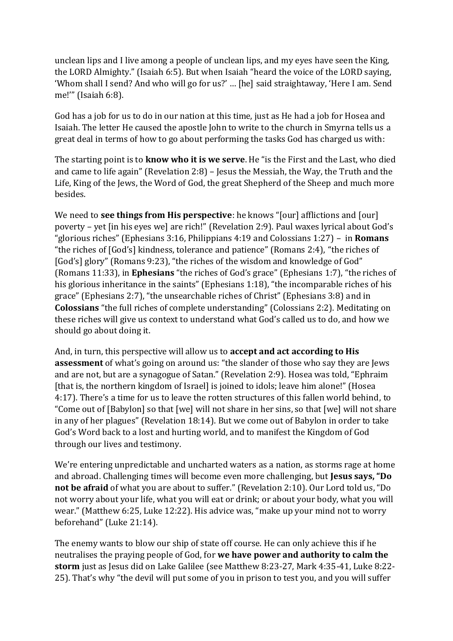unclean lips and I live among a people of unclean lips, and my eyes have seen the King, the LORD Almighty." (Isaiah 6:5). But when Isaiah "heard the voice of the LORD saying, 'Whom shall I send? And who will go for us?' … [he] said straightaway, 'Here I am. Send me!'" (Isaiah 6:8).

God has a job for us to do in our nation at this time, just as He had a job for Hosea and Isaiah. The letter He caused the apostle John to write to the church in Smyrna tells us a great deal in terms of how to go about performing the tasks God has charged us with:

The starting point is to **know who it is we serve**. He "is the First and the Last, who died and came to life again" (Revelation 2:8) – Jesus the Messiah, the Way, the Truth and the Life, King of the Jews, the Word of God, the great Shepherd of the Sheep and much more besides.

We need to **see things from His perspective**: he knows "[our] afflictions and [our] poverty – yet [in his eyes we] are rich!" (Revelation 2:9). Paul waxes lyrical about God's "glorious riches" (Ephesians 3:16, Philippians 4:19 and Colossians 1:27) – in **Romans** "the riches of [God's] kindness, tolerance and patience" (Romans 2:4), "the riches of [God's] glory" (Romans 9:23), "the riches of the wisdom and knowledge of God" (Romans 11:33), in **Ephesians** "the riches of God's grace" (Ephesians 1:7), "the riches of his glorious inheritance in the saints" (Ephesians 1:18), "the incomparable riches of his grace" (Ephesians 2:7), "the unsearchable riches of Christ" (Ephesians 3:8) and in **Colossians** "the full riches of complete understanding" (Colossians 2:2). Meditating on these riches will give us context to understand what God's called us to do, and how we should go about doing it.

And, in turn, this perspective will allow us to **accept and act according to His assessment** of what's going on around us: "the slander of those who say they are Jews and are not, but are a synagogue of Satan." (Revelation 2:9). Hosea was told, "Ephraim [that is, the northern kingdom of Israel] is joined to idols; leave him alone!" (Hosea 4:17). There's a time for us to leave the rotten structures of this fallen world behind, to "Come out of [Babylon] so that [we] will not share in her sins, so that [we] will not share in any of her plagues" (Revelation 18:14). But we come out of Babylon in order to take God's Word back to a lost and hurting world, and to manifest the Kingdom of God through our lives and testimony.

We're entering unpredictable and uncharted waters as a nation, as storms rage at home and abroad. Challenging times will become even more challenging, but **Jesus says, "Do not be afraid** of what you are about to suffer." (Revelation 2:10). Our Lord told us, "Do not worry about your life, what you will eat or drink; or about your body, what you will wear." (Matthew 6:25, Luke 12:22). His advice was, "make up your mind not to worry beforehand" (Luke 21:14).

The enemy wants to blow our ship of state off course. He can only achieve this if he neutralises the praying people of God, for **we have power and authority to calm the storm** just as Jesus did on Lake Galilee (see Matthew 8:23-27, Mark 4:35-41, Luke 8:22- 25). That's why "the devil will put some of you in prison to test you, and you will suffer